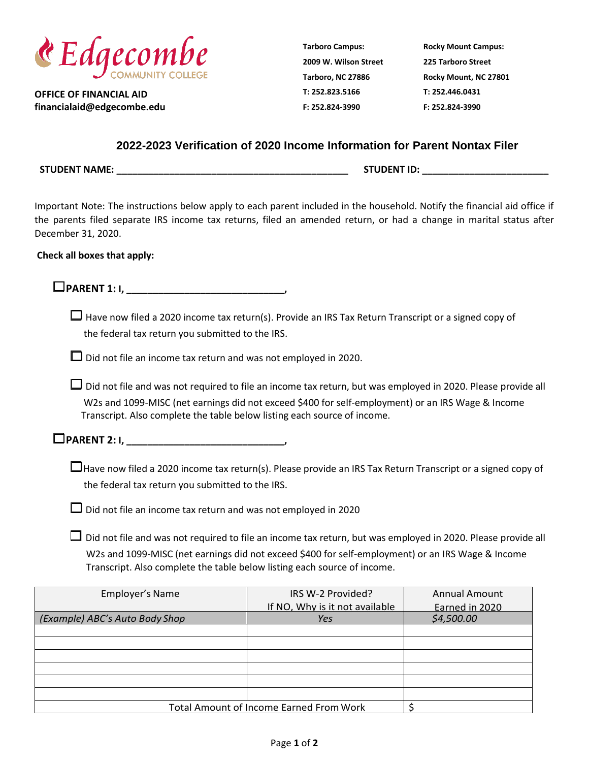

**OFFICE OF FINANCIAL AID financialaid@edgecombe.edu** **Tarboro Campus: 2009 W. Wilson Street Tarboro, NC 27886 T: 252.823.5166 F: 252.824-3990**

**Rocky Mount Campus: 225 Tarboro Street Rocky Mount, NC 27801 T: 252.446.0431 F: 252.824-3990**

## **2022-2023 Verification of 2020 Income Information for Parent Nontax Filer**

**STUDENT NAME: \_\_\_\_\_\_\_\_\_\_\_\_\_\_\_\_\_\_\_\_\_\_\_\_\_\_\_\_\_\_\_\_\_\_\_\_\_\_\_\_\_\_\_\_ STUDENT ID: \_\_\_\_\_\_\_\_\_\_\_\_\_\_\_\_\_\_\_\_\_\_\_\_**

Important Note: The instructions below apply to each parent included in the household. Notify the financial aid office if the parents filed separate IRS income tax returns, filed an amended return, or had a change in marital status after December 31, 2020.

## **Check all boxes that apply:**

□**PARENT 1: I, \_\_\_\_\_\_\_\_\_\_\_\_\_\_\_\_\_\_\_\_\_\_\_\_\_\_\_\_\_\_,** 

 $\square$  Have now filed a 2020 income tax return(s). Provide an IRS Tax Return Transcript or a signed copy of the federal tax return you submitted to the IRS.

 $\Box$  Did not file an income tax return and was not employed in 2020.

□ Did not file and was not required to file an income tax return, but was employed in 2020. Please provide all W2s and 1099-MISC (net earnings did not exceed \$400 for self-employment) or an IRS Wage & Income Transcript. Also complete the table below listing each source of income.

□**PARENT 2: I, \_\_\_\_\_\_\_\_\_\_\_\_\_\_\_\_\_\_\_\_\_\_\_\_\_\_\_\_\_\_,** 

 $\square$  Have now filed a 2020 income tax return(s). Please provide an IRS Tax Return Transcript or a signed copy of the federal tax return you submitted to the IRS.

 $\square$  Did not file an income tax return and was not employed in 2020

□ Did not file and was not required to file an income tax return, but was employed in 2020. Please provide all W2s and 1099-MISC (net earnings did not exceed \$400 for self-employment) or an IRS Wage & Income Transcript. Also complete the table below listing each source of income.

| Employer's Name                                | IRS W-2 Provided?<br>If NO, Why is it not available | <b>Annual Amount</b><br>Earned in 2020 |
|------------------------------------------------|-----------------------------------------------------|----------------------------------------|
| (Example) ABC's Auto Body Shop                 | Yes                                                 | \$4,500.00                             |
|                                                |                                                     |                                        |
|                                                |                                                     |                                        |
|                                                |                                                     |                                        |
|                                                |                                                     |                                        |
|                                                |                                                     |                                        |
|                                                |                                                     |                                        |
| <b>Total Amount of Income Earned From Work</b> |                                                     |                                        |